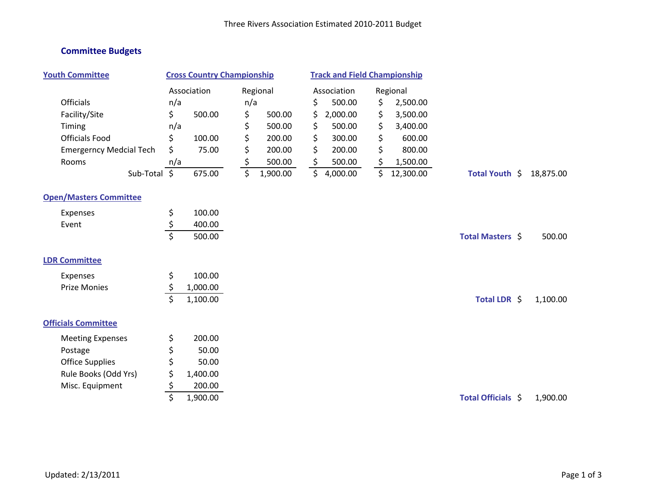## **Committee Budgets**

| <b>Youth Committee</b>         | <b>Cross Country Championship</b> |          |     | <b>Track and Field Championship</b> |    |             |    |           |                    |           |
|--------------------------------|-----------------------------------|----------|-----|-------------------------------------|----|-------------|----|-----------|--------------------|-----------|
|                                | Association                       |          |     | Regional                            |    | Association |    | Regional  |                    |           |
| <b>Officials</b>               | n/a                               |          | n/a |                                     | \$ | 500.00      | \$ | 2,500.00  |                    |           |
| Facility/Site                  | \$                                | 500.00   | \$  | 500.00                              | \$ | 2,000.00    | \$ | 3,500.00  |                    |           |
| Timing                         | n/a                               |          | \$  | 500.00                              | \$ | 500.00      | \$ | 3,400.00  |                    |           |
| <b>Officials Food</b>          | \$                                | 100.00   | \$  | 200.00                              | \$ | 300.00      | \$ | 600.00    |                    |           |
| <b>Emergerncy Medcial Tech</b> | \$                                | 75.00    | \$  | 200.00                              | \$ | 200.00      | \$ | 800.00    |                    |           |
| Rooms                          | n/a                               |          | \$  | 500.00                              | \$ | 500.00      | \$ | 1,500.00  |                    |           |
| Sub-Total \$                   |                                   | 675.00   | \$  | 1,900.00                            | \$ | 4,000.00    | \$ | 12,300.00 | Total Youth \$     | 18,875.00 |
| <b>Open/Masters Committee</b>  |                                   |          |     |                                     |    |             |    |           |                    |           |
| Expenses                       | \$                                | 100.00   |     |                                     |    |             |    |           |                    |           |
| Event                          | \$                                | 400.00   |     |                                     |    |             |    |           |                    |           |
|                                | $\overline{\mathsf{S}}$           | 500.00   |     |                                     |    |             |    |           | Total Masters \$   | 500.00    |
| <b>LDR Committee</b>           |                                   |          |     |                                     |    |             |    |           |                    |           |
| Expenses                       | \$                                | 100.00   |     |                                     |    |             |    |           |                    |           |
| <b>Prize Monies</b>            | \$                                | 1,000.00 |     |                                     |    |             |    |           |                    |           |
|                                | $\overline{\mathsf{S}}$           | 1,100.00 |     |                                     |    |             |    |           | Total LDR \$       | 1,100.00  |
| <b>Officials Committee</b>     |                                   |          |     |                                     |    |             |    |           |                    |           |
| <b>Meeting Expenses</b>        | \$                                | 200.00   |     |                                     |    |             |    |           |                    |           |
| Postage                        | \$                                | 50.00    |     |                                     |    |             |    |           |                    |           |
| <b>Office Supplies</b>         | \$                                | 50.00    |     |                                     |    |             |    |           |                    |           |
| Rule Books (Odd Yrs)           | \$                                | 1,400.00 |     |                                     |    |             |    |           |                    |           |
| Misc. Equipment                | \$                                | 200.00   |     |                                     |    |             |    |           |                    |           |
|                                | \$                                | 1,900.00 |     |                                     |    |             |    |           | Total Officials \$ | 1,900.00  |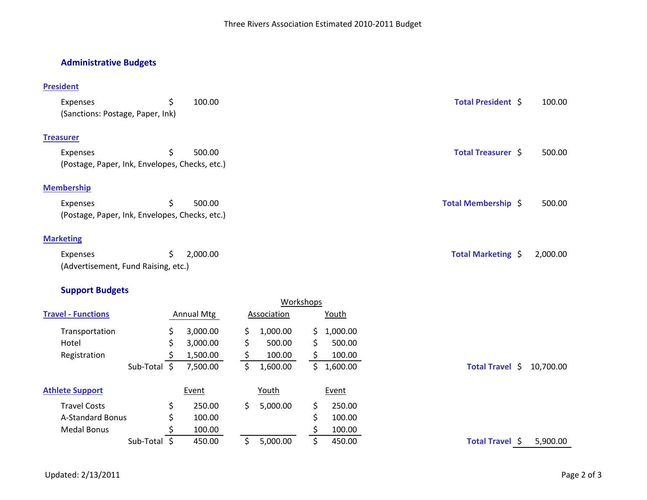## **Administrative Budgets**

## **President**

| Expenses                                       | \$<br>100.00   | Total President \$  | 100.00   |
|------------------------------------------------|----------------|---------------------|----------|
| (Sanctions: Postage, Paper, Ink)               |                |                     |          |
| <b>Treasurer</b>                               |                |                     |          |
| Expenses                                       | \$<br>500.00   | Total Treasurer \$  | 500.00   |
| (Postage, Paper, Ink, Envelopes, Checks, etc.) |                |                     |          |
| <b>Membership</b>                              |                |                     |          |
| Expenses                                       | \$<br>500.00   | Total Membership \$ | 500.00   |
| (Postage, Paper, Ink, Envelopes, Checks, etc.) |                |                     |          |
| <b>Marketing</b>                               |                |                     |          |
| Expenses                                       | \$<br>2,000.00 | Total Marketing \$  | 2,000.00 |
| (Advertisement, Fund Raising, etc.)            |                |                     |          |

## **Support Budgets**

|                           |              |    |                   |     |             | Workshops |              |                 |           |
|---------------------------|--------------|----|-------------------|-----|-------------|-----------|--------------|-----------------|-----------|
| <b>Travel - Functions</b> |              |    | <b>Annual Mtg</b> |     | Association |           | <u>Youth</u> |                 |           |
| Transportation            |              | \$ | 3,000.00          | S.  | 1,000.00    | S.        | ,000.00      |                 |           |
| Hotel                     |              | S  | 3,000.00          | \$. | 500.00      | \$        | 500.00       |                 |           |
| Registration              |              |    | 1,500.00          |     | 100.00      |           | 100.00       |                 |           |
|                           | Sub-Total \$ |    | 7,500.00          | \$. | 1,600.00    | S.        | 1,600.00     | Total Travel \$ | 10,700.00 |
| <b>Athlete Support</b>    |              |    | Event             |     | Youth       |           | Event        |                 |           |
| <b>Travel Costs</b>       |              | \$ | 250.00            | S.  | 5,000.00    | \$        | 250.00       |                 |           |
| <b>A-Standard Bonus</b>   |              | \$ | 100.00            |     |             | \$        | 100.00       |                 |           |
| Medal Bonus               |              |    | 100.00            |     |             |           | 100.00       |                 |           |
|                           | Sub-Total \$ |    | 450.00            | S.  | 5,000.00    | \$        | 450.00       | Total Travel \$ | 5,900.00  |